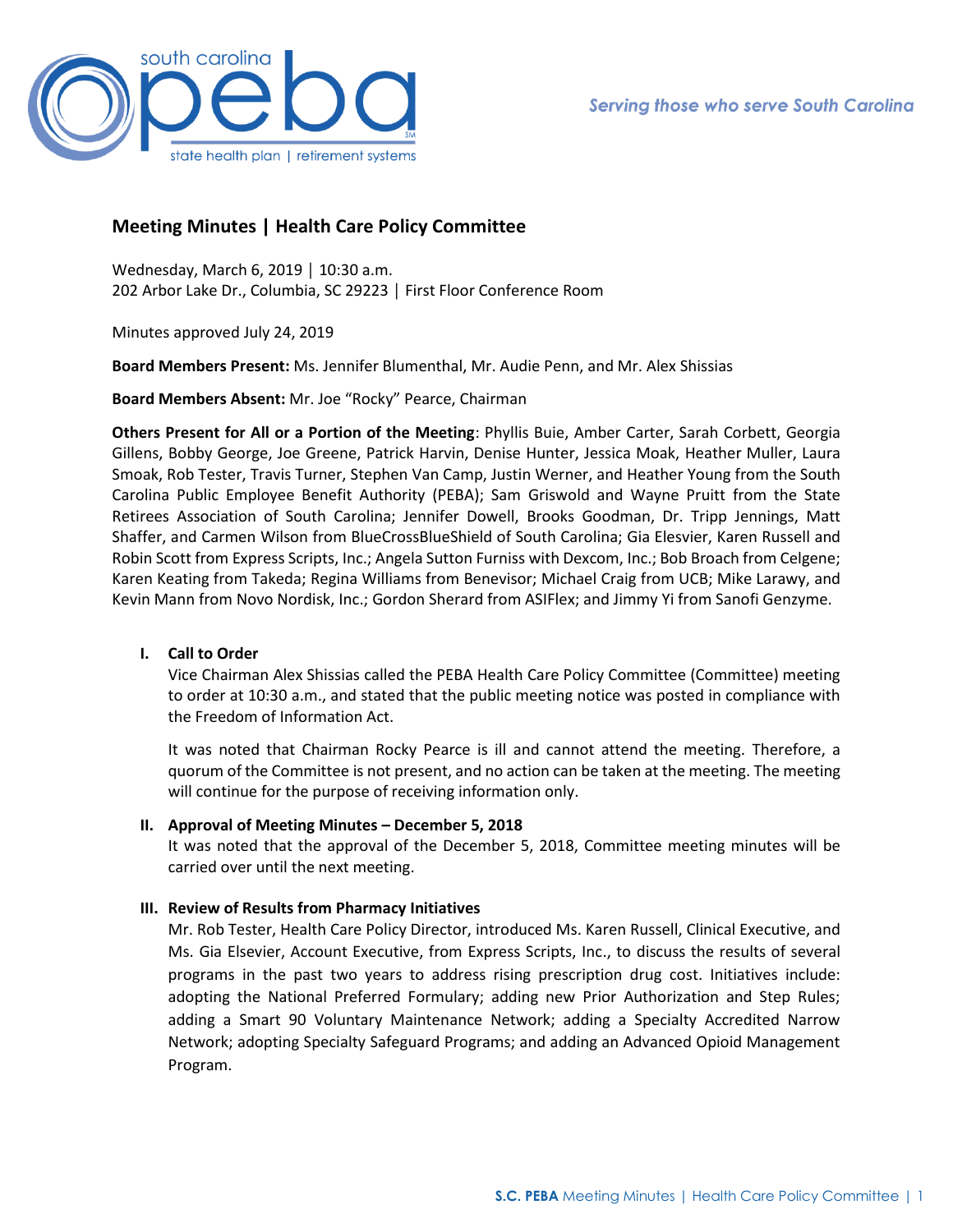

# **Meeting Minutes | Health Care Policy Committee**

Wednesday, March 6, 2019 │ 10:30 a.m. 202 Arbor Lake Dr., Columbia, SC 29223 │ First Floor Conference Room

Minutes approved July 24, 2019

**Board Members Present:** Ms. Jennifer Blumenthal, Mr. Audie Penn, and Mr. Alex Shissias

**Board Members Absent:** Mr. Joe "Rocky" Pearce, Chairman

**Others Present for All or a Portion of the Meeting**: Phyllis Buie, Amber Carter, Sarah Corbett, Georgia Gillens, Bobby George, Joe Greene, Patrick Harvin, Denise Hunter, Jessica Moak, Heather Muller, Laura Smoak, Rob Tester, Travis Turner, Stephen Van Camp, Justin Werner, and Heather Young from the South Carolina Public Employee Benefit Authority (PEBA); Sam Griswold and Wayne Pruitt from the State Retirees Association of South Carolina; Jennifer Dowell, Brooks Goodman, Dr. Tripp Jennings, Matt Shaffer, and Carmen Wilson from BlueCrossBlueShield of South Carolina; Gia Elesvier, Karen Russell and Robin Scott from Express Scripts, Inc.; Angela Sutton Furniss with Dexcom, Inc.; Bob Broach from Celgene; Karen Keating from Takeda; Regina Williams from Benevisor; Michael Craig from UCB; Mike Larawy, and Kevin Mann from Novo Nordisk, Inc.; Gordon Sherard from ASIFlex; and Jimmy Yi from Sanofi Genzyme.

# **I. Call to Order**

Vice Chairman Alex Shissias called the PEBA Health Care Policy Committee (Committee) meeting to order at 10:30 a.m., and stated that the public meeting notice was posted in compliance with the Freedom of Information Act.

It was noted that Chairman Rocky Pearce is ill and cannot attend the meeting. Therefore, a quorum of the Committee is not present, and no action can be taken at the meeting. The meeting will continue for the purpose of receiving information only.

# **II. Approval of Meeting Minutes – December 5, 2018**

It was noted that the approval of the December 5, 2018, Committee meeting minutes will be carried over until the next meeting.

# **III. Review of Results from Pharmacy Initiatives**

Mr. Rob Tester, Health Care Policy Director, introduced Ms. Karen Russell, Clinical Executive, and Ms. Gia Elsevier, Account Executive, from Express Scripts, Inc., to discuss the results of several programs in the past two years to address rising prescription drug cost. Initiatives include: adopting the National Preferred Formulary; adding new Prior Authorization and Step Rules; adding a Smart 90 Voluntary Maintenance Network; adding a Specialty Accredited Narrow Network; adopting Specialty Safeguard Programs; and adding an Advanced Opioid Management Program.